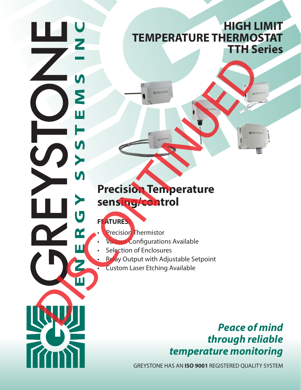# **HIGH LIMIT TEMPERATURE THERMOSTAT TTH Series**

# **Precision Temperature sensing/control** DE LA CARLO TRESSIÓN TEMPERATURE<br>
SERIE DE LA CARLO TRESSIÓN TEMPERATURE<br>
SERIE DE LA CARLO TRESSIÓN TREPRETATURE<br>
DE LA CARLO TRESSIÓN TRESSIÓN TRESSIÓN TRESSIÓN TRESSIÓN EN EL CONTENTINO EN AVAILABLE<br>
DE LA CASTON LASE E

# **FEATURES:**

- **Precision Thermistor**
- Various Configurations Available
- Selection of Enclosures
	- Relay Output with Adjustable Setpoint
	- Custom Laser Etching Available

# *Peace of mind through reliable temperature monitoring*

GREYSTONE HAS AN **ISO 9001** REGISTERED QUALITY SYSTEM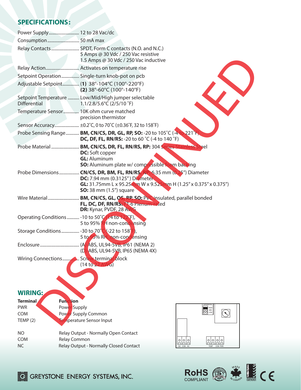## **SPECIFICATIONS:**

|                       | Power Supply 12 to 28 Vac/dc                                                                                                                                                                                          |
|-----------------------|-----------------------------------------------------------------------------------------------------------------------------------------------------------------------------------------------------------------------|
|                       |                                                                                                                                                                                                                       |
|                       | Relay Contacts  SPDT, Form C contacts (N.O. and N.C.)<br>5 Amps @ 30 Vdc / 250 Vac resistive<br>1.5 Amps @ 30 Vdc / 250 Vac inductive                                                                                 |
|                       |                                                                                                                                                                                                                       |
|                       | Setpoint Operation Single-turn knob-pot on pcb                                                                                                                                                                        |
|                       | Adjustable Setpoint (1) 38°-104°C (100°-220°F)<br>$(2)$ 38°-60°C (100°-140°F)                                                                                                                                         |
| <b>Differential</b>   | Setpoint Temperature  Low/Mid/High jumper selectable<br>1.1/2.8/5.6°C (2/5/10 °F)                                                                                                                                     |
|                       | Temperature Sensor 10K ohm curve matched<br>precision thermistor                                                                                                                                                      |
|                       | Sensor Accuracy ±0.2°C, 0 to 70°C (±0.36°F, 32 to 158°F)                                                                                                                                                              |
|                       | Probe Sensing Range <b>BM, CN/CS, DR, GL, RP, SO:</b> -20 to 105°C (-4 to 221°F).<br><b>DC, DF, FL, RN/RS:</b> -20 to 60 °C (-4 to 140 °F)                                                                            |
|                       | Probe Material  BM, CN/CS, DR, FL, RN/RS, RP: 304 Series Stainle<br><b>DC:</b> Soft copper<br><b>GL: Aluminum</b><br><b>SO:</b> Aluminum plate w/ compressible foam backing                                           |
|                       | Probe Dimensions CN/CS, DR, BM, FL, RN/RS, RP: 6.35 mm (0.25") Diameter<br>DC: 7.94 mm (0.3125") Diameter<br><b>GL:</b> 31.75mm L x 95.25mm W x 9.525mm H (1.25" x 0.375" x 0.375")<br><b>SO:</b> 38 mm (1.5") square |
|                       | FL, DC, DF, RN/RS. F-6 Plenum-rated<br>DR: Kynar, PVDF, 28 AWG                                                                                                                                                        |
|                       | Operating Conditions  - 10 to 50°C (14 to 122°F),<br>5 to 95% RIA non-condensing                                                                                                                                      |
|                       | 5 to 95% RH, non-condensing                                                                                                                                                                                           |
|                       | (D)-ABS, UL94-5VB, IP65 (NEMA 4X)                                                                                                                                                                                     |
| Wiring Connections    | Screw terminal block<br>(14 to 22 AWG)                                                                                                                                                                                |
| <b>WIRING:</b>        |                                                                                                                                                                                                                       |
| <b>Terminal</b>       | <b>Function</b>                                                                                                                                                                                                       |
| <b>PWR</b>            | DIFFEREN<br>Power Supply<br>HIGH<br><b>OO</b> LOW                                                                                                                                                                     |
| <b>COM</b><br>TEMP(2) | Power Supply Common<br><b>Femperature Sensor Input</b>                                                                                                                                                                |
| <b>NO</b>             | Relay Output - Normally Open Contact                                                                                                                                                                                  |
| <b>COM</b>            | Relay Common<br><u>lalala</u><br><u>alalala</u>                                                                                                                                                                       |
| <b>NC</b>             | Relay Output - Normally Closed Contact<br>NO COM NC<br>TEMP COM PWR                                                                                                                                                   |



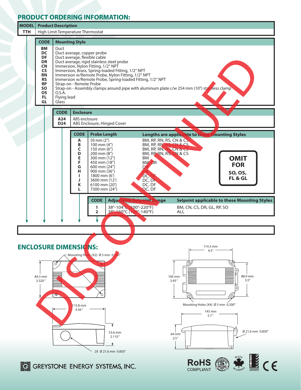### **PRODUCT ORDERING INFORMATION:**



ROHS  $\circledR$   $\bullet$   $\bullet$   $\bullet$   $\bullet$   $\bullet$   $\bullet$   $\bullet$ 

**COMPLIANT** 

2X Ø 21.6 mm 0.850"

**ELE GREYSTONE ENERGY SYSTEMS, INC.**